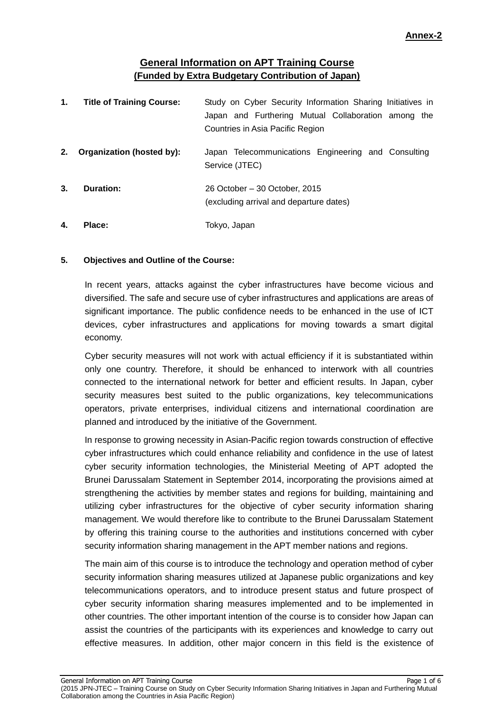# **General Information on APT Training Course (Funded by Extra Budgetary Contribution of Japan)**

| 1. | <b>Title of Training Course:</b> | Study on Cyber Security Information Sharing Initiatives in<br>Japan and Furthering Mutual Collaboration among the<br>Countries in Asia Pacific Region |
|----|----------------------------------|-------------------------------------------------------------------------------------------------------------------------------------------------------|
| 2. | Organization (hosted by):        | Japan Telecommunications Engineering and Consulting<br>Service (JTEC)                                                                                 |
| 3. | Duration:                        | 26 October – 30 October, 2015<br>(excluding arrival and departure dates)                                                                              |
| 4. | Place:                           | Tokyo, Japan                                                                                                                                          |

# **5. Objectives and Outline of the Course:**

In recent years, attacks against the cyber infrastructures have become vicious and diversified. The safe and secure use of cyber infrastructures and applications are areas of significant importance. The public confidence needs to be enhanced in the use of ICT devices, cyber infrastructures and applications for moving towards a smart digital economy.

Cyber security measures will not work with actual efficiency if it is substantiated within only one country. Therefore, it should be enhanced to interwork with all countries connected to the international network for better and efficient results. In Japan, cyber security measures best suited to the public organizations, key telecommunications operators, private enterprises, individual citizens and international coordination are planned and introduced by the initiative of the Government.

In response to growing necessity in Asian-Pacific region towards construction of effective cyber infrastructures which could enhance reliability and confidence in the use of latest cyber security information technologies, the Ministerial Meeting of APT adopted the Brunei Darussalam Statement in September 2014, incorporating the provisions aimed at strengthening the activities by member states and regions for building, maintaining and utilizing cyber infrastructures for the objective of cyber security information sharing management. We would therefore like to contribute to the Brunei Darussalam Statement by offering this training course to the authorities and institutions concerned with cyber security information sharing management in the APT member nations and regions.

The main aim of this course is to introduce the technology and operation method of cyber security information sharing measures utilized at Japanese public organizations and key telecommunications operators, and to introduce present status and future prospect of cyber security information sharing measures implemented and to be implemented in other countries. The other important intention of the course is to consider how Japan can assist the countries of the participants with its experiences and knowledge to carry out effective measures. In addition, other major concern in this field is the existence of

General Information on APT Training Course **Page 1 of 6** Page 1 of 6 (2015 JPN-JTEC – Training Course on Study on Cyber Security Information Sharing Initiatives in Japan and Furthering Mutual Collaboration among the Countries in Asia Pacific Region)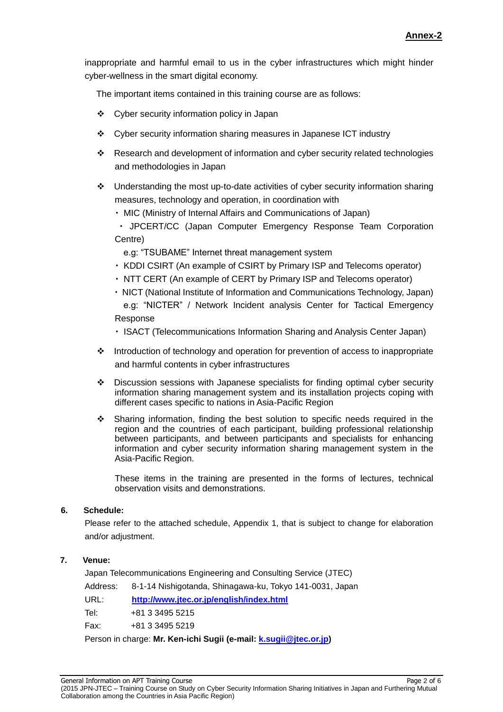inappropriate and harmful email to us in the cyber infrastructures which might hinder cyber-wellness in the smart digital economy.

The important items contained in this training course are as follows:

- Cyber security information policy in Japan
- Cyber security information sharing measures in Japanese ICT industry
- Research and development of information and cyber security related technologies and methodologies in Japan
- $\div$  Understanding the most up-to-date activities of cyber security information sharing measures, technology and operation, in coordination with
	- ・ MIC (Ministry of Internal Affairs and Communications of Japan)

・ JPCERT/CC (Japan Computer Emergency Response Team Corporation Centre)

e.g: "TSUBAME" Internet threat management system

- ・ KDDI CSIRT (An example of CSIRT by Primary ISP and Telecoms operator)
- ・ NTT CERT (An example of CERT by Primary ISP and Telecoms operator)
- ・ NICT (National Institute of Information and Communications Technology, Japan) e.g: "NICTER" / Network Incident analysis Center for Tactical Emergency Response
- ・ ISACT (Telecommunications Information Sharing and Analysis Center Japan)
- Introduction of technology and operation for prevention of access to inappropriate and harmful contents in cyber infrastructures
- Discussion sessions with Japanese specialists for finding optimal cyber security information sharing management system and its installation projects coping with different cases specific to nations in Asia-Pacific Region
- Sharing information, finding the best solution to specific needs required in the region and the countries of each participant, building professional relationship between participants, and between participants and specialists for enhancing information and cyber security information sharing management system in the Asia-Pacific Region.

These items in the training are presented in the forms of lectures, technical observation visits and demonstrations.

#### **6. Schedule:**

Please refer to the attached schedule, Appendix 1, that is subject to change for elaboration and/or adjustment.

#### **7. Venue:**

Japan Telecommunications Engineering and Consulting Service (JTEC) Address: 8-1-14 Nishigotanda, Shinagawa-ku, Tokyo 141-0031, Japan

URL: **<http://www.jtec.or.jp/english/index.html>**

Tel: +81 3 3495 5215

Fax: +81 3 3495 5219

Person in charge: **Mr. Ken-ichi Sugii (e-mail: [k.sugii@jtec.or.jp\)](mailto:k.sugii@jtec.or.jp)**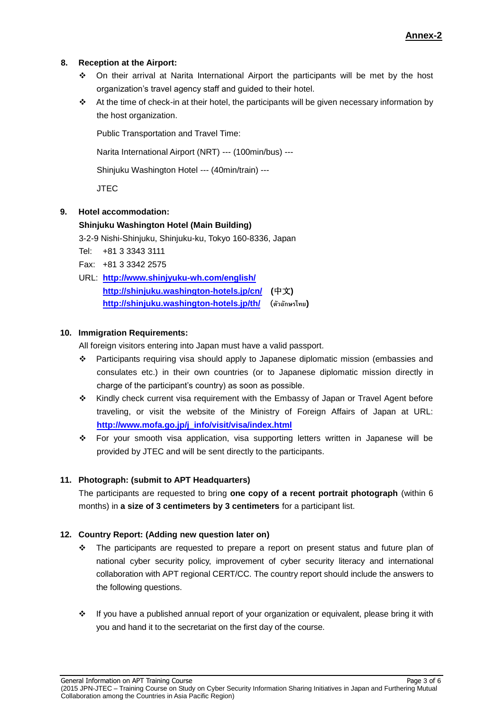# **8. Reception at the Airport:**

- On their arrival at Narita International Airport the participants will be met by the host organization's travel agency staff and guided to their hotel.
- $\cdot \cdot$  At the time of check-in at their hotel, the participants will be given necessary information by the host organization.

Public Transportation and Travel Time:

Narita International Airport (NRT) --- (100min/bus) ---

Shinjuku Washington Hotel --- (40min/train) ---

JTEC

# **9. Hotel accommodation:**

# **Shinjuku Washington Hotel (Main Building)**

3-2-9 Nishi-Shinjuku, Shinjuku-ku, Tokyo 160-8336, Japan

- Tel: +81 3 3343 3111
- Fax: +81 3 3342 2575
- URL: **<http://www.shinjyuku-wh.com/english/> <http://shinjuku.washington-hotels.jp/cn/> (**中文**) <http://shinjuku.washington-hotels.jp/th/>** ( **)**

# **10. Immigration Requirements:**

All foreign visitors entering into Japan must have a valid passport.

- Participants requiring visa should apply to Japanese diplomatic mission (embassies and consulates etc.) in their own countries (or to Japanese diplomatic mission directly in charge of the participant's country) as soon as possible.
- Kindly check current visa requirement with the Embassy of Japan or Travel Agent before traveling, or visit the website of the Ministry of Foreign Affairs of Japan at URL: **[http://www.mofa.go.jp/j\\_info/visit/visa/index.html](http://www.mofa.go.jp/j_info/visit/visa/index.html)**
- For your smooth visa application, visa supporting letters written in Japanese will be provided by JTEC and will be sent directly to the participants.

# **11. Photograph: (submit to APT Headquarters)**

The participants are requested to bring **one copy of a recent portrait photograph** (within 6 months) in **a size of 3 centimeters by 3 centimeters** for a participant list.

### **12. Country Report: (Adding new question later on)**

- $\div$  The participants are requested to prepare a report on present status and future plan of national cyber security policy, improvement of cyber security literacy and international collaboration with APT regional CERT/CC. The country report should include the answers to the following questions.
- If you have a published annual report of your organization or equivalent, please bring it with you and hand it to the secretariat on the first day of the course.

General Information on APT Training Course **Page 3 of 6** and 2001 and 2001 and 2008 and 2008 and 2008 and 2008 and 2008 and 2008 and 2008 and 2008 and 2008 and 2008 and 2008 and 2008 and 2008 and 2008 and 2008 and 2008 and (2015 JPN-JTEC – Training Course on Study on Cyber Security Information Sharing Initiatives in Japan and Furthering Mutual

Collaboration among the Countries in Asia Pacific Region)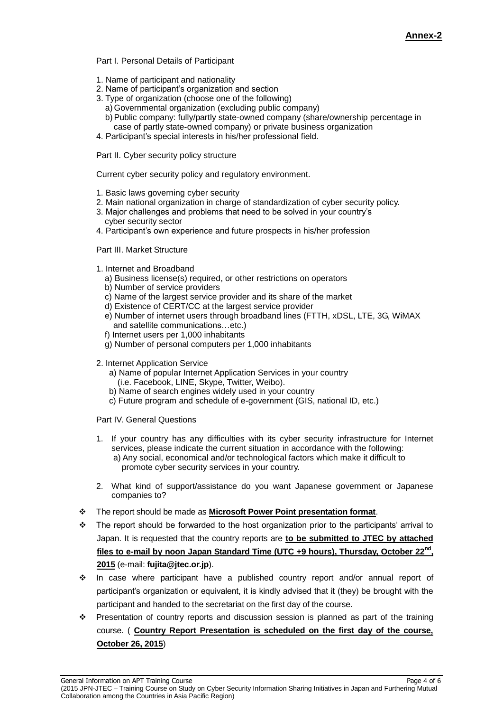Part I. Personal Details of Participant

- 1. Name of participant and nationality
- 2. Name of participant's organization and section
- 3. Type of organization (choose one of the following) a) Governmental organization (excluding public company)
	- b)Public company: fully/partly state-owned company (share/ownership percentage in case of partly state-owned company) or private business organization
- 4. Participant's special interests in his/her professional field.

Part II. Cyber security policy structure

Current cyber security policy and regulatory environment.

- 1. Basic laws governing cyber security
- 2. Main national organization in charge of standardization of cyber security policy.
- 3. Major challenges and problems that need to be solved in your country's cyber security sector
- 4. Participant's own experience and future prospects in his/her profession

Part III. Market Structure

- 1. Internet and Broadband
	- a) Business license(s) required, or other restrictions on operators
	- b) Number of service providers
	- c) Name of the largest service provider and its share of the market
	- d) Existence of CERT/CC at the largest service provider
	- e) Number of internet users through broadband lines (FTTH, xDSL, LTE, 3G, WiMAX and satellite communications…etc.)
	- f) Internet users per 1,000 inhabitants
	- g) Number of personal computers per 1,000 inhabitants
- 2. Internet Application Service
	- a) Name of popular Internet Application Services in your country (i.e. Facebook, LINE, Skype, Twitter, Weibo).
	- b) Name of search engines widely used in your country
	- c) Future program and schedule of e-government (GIS, national ID, etc.)

Part IV. General Questions

- 1. If your country has any difficulties with its cyber security infrastructure for Internet services, please indicate the current situation in accordance with the following: a) Any social, economical and/or technological factors which make it difficult to promote cyber security services in your country.
- 2. What kind of support/assistance do you want Japanese government or Japanese companies to?
- The report should be made as **Microsoft Power Point presentation format**.
- $\cdot \cdot$  The report should be forwarded to the host organization prior to the participants' arrival to Japan. It is requested that the country reports are **to be submitted to JTEC by attached files to e-mail by noon Japan Standard Time (UTC +9 hours), Thursday, October 22nd , 2015** (e-mail: **fujita@jtec.or.jp**).
- In case where participant have a published country report and/or annual report of participant's organization or equivalent, it is kindly advised that it (they) be brought with the participant and handed to the secretariat on the first day of the course.
- Presentation of country reports and discussion session is planned as part of the training course. ( **Country Report Presentation is scheduled on the first day of the course, October 26, 2015**)

General Information on APT Training Course **Page 4 of 6** and the state Page 4 of 6

<sup>(2015</sup> JPN-JTEC – Training Course on Study on Cyber Security Information Sharing Initiatives in Japan and Furthering Mutual Collaboration among the Countries in Asia Pacific Region)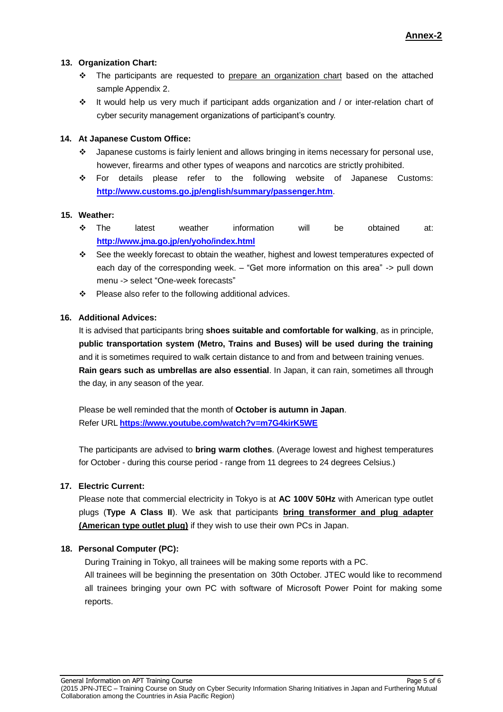# **13. Organization Chart:**

- The participants are requested to prepare an organization chart based on the attached sample Appendix 2.
- $\cdot \cdot$  It would help us very much if participant adds organization and / or inter-relation chart of cyber security management organizations of participant's country.

## **14. At Japanese Custom Office:**

- Japanese customs is fairly lenient and allows bringing in items necessary for personal use, however, firearms and other types of weapons and narcotics are strictly prohibited.
- For details please refer to the following website of Japanese Customs: **<http://www.customs.go.jp/english/summary/passenger.htm>**.

#### **15. Weather:**

- The latest weather information will be obtained at: **<http://www.jma.go.jp/en/yoho/index.html>**
- \* See the weekly forecast to obtain the weather, highest and lowest temperatures expected of each day of the corresponding week. – "Get more information on this area" -> pull down menu -> select "One-week forecasts"
- ❖ Please also refer to the following additional advices.

# **16. Additional Advices:**

It is advised that participants bring **shoes suitable and comfortable for walking**, as in principle, **public transportation system (Metro, Trains and Buses) will be used during the training** and it is sometimes required to walk certain distance to and from and between training venues. **Rain gears such as umbrellas are also essential**. In Japan, it can rain, sometimes all through the day, in any season of the year.

Please be well reminded that the month of **October is autumn in Japan**. Refer URL **<https://www.youtube.com/watch?v=m7G4kirK5WE>**

The participants are advised to **bring warm clothes**. (Average lowest and highest temperatures for October - during this course period - range from 11 degrees to 24 degrees Celsius.)

#### **17. Electric Current:**

Please note that commercial electricity in Tokyo is at **AC 100V 50Hz** with American type outlet plugs (**Type A Class II**). We ask that participants **bring transformer and plug adapter (American type outlet plug)** if they wish to use their own PCs in Japan.

# **18. Personal Computer (PC):**

During Training in Tokyo, all trainees will be making some reports with a PC.

All trainees will be beginning the presentation on 30th October. JTEC would like to recommend all trainees bringing your own PC with software of Microsoft Power Point for making some reports.

<sup>(2015</sup> JPN-JTEC – Training Course on Study on Cyber Security Information Sharing Initiatives in Japan and Furthering Mutual Collaboration among the Countries in Asia Pacific Region)